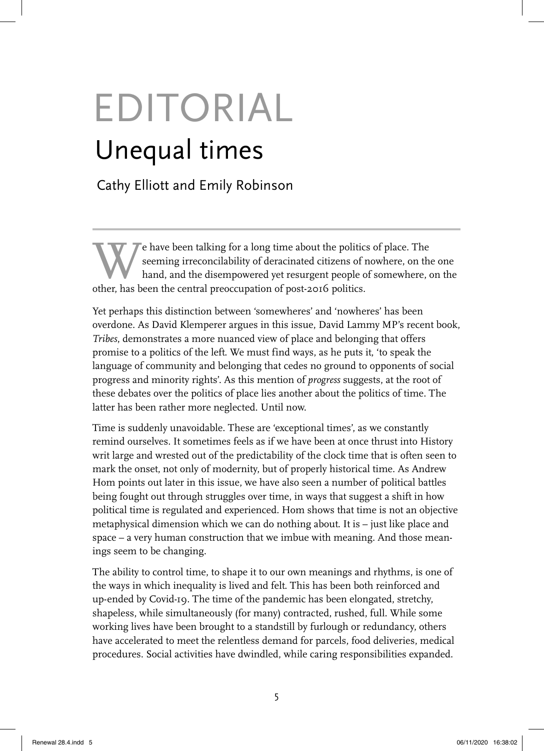## EDITORIAL Unequal times

## Cathy Elliott and Emily Robinson

Example 1 alking for a long time about the politics of place. The seeming irreconcilability of deracinated citizens of nowhere, on the hand, and the disempowered yet resurgent people of somewhere, of other, has been the ce seeming irreconcilability of deracinated citizens of nowhere, on the one hand, and the disempowered yet resurgent people of somewhere, on the other, has been the central preoccupation of post-2016 politics.

Yet perhaps this distinction between 'somewheres' and 'nowheres' has been overdone. As David Klemperer argues in this issue, David Lammy MP's recent book, *Tribes*, demonstrates a more nuanced view of place and belonging that offers promise to a politics of the left. We must find ways, as he puts it, 'to speak the language of community and belonging that cedes no ground to opponents of social progress and minority rights'. As this mention of *progress* suggests, at the root of these debates over the politics of place lies another about the politics of time. The latter has been rather more neglected. Until now.

Time is suddenly unavoidable. These are 'exceptional times', as we constantly remind ourselves. It sometimes feels as if we have been at once thrust into History writ large and wrested out of the predictability of the clock time that is often seen to mark the onset, not only of modernity, but of properly historical time. As Andrew Hom points out later in this issue, we have also seen a number of political battles being fought out through struggles over time, in ways that suggest a shift in how political time is regulated and experienced. Hom shows that time is not an objective metaphysical dimension which we can do nothing about. It is – just like place and space – a very human construction that we imbue with meaning. And those meanings seem to be changing.

The ability to control time, to shape it to our own meanings and rhythms, is one of the ways in which inequality is lived and felt. This has been both reinforced and up-ended by Covid-19. The time of the pandemic has been elongated, stretchy, shapeless, while simultaneously (for many) contracted, rushed, full. While some working lives have been brought to a standstill by furlough or redundancy, others have accelerated to meet the relentless demand for parcels, food deliveries, medical procedures. Social activities have dwindled, while caring responsibilities expanded.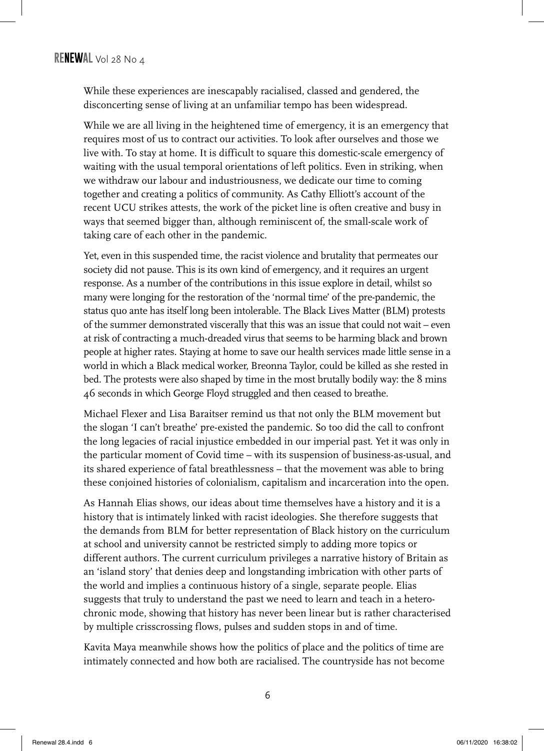While these experiences are inescapably racialised, classed and gendered, the disconcerting sense of living at an unfamiliar tempo has been widespread.

While we are all living in the heightened time of emergency, it is an emergency that requires most of us to contract our activities. To look after ourselves and those we live with. To stay at home. It is difficult to square this domestic-scale emergency of waiting with the usual temporal orientations of left politics. Even in striking, when we withdraw our labour and industriousness, we dedicate our time to coming together and creating a politics of community. As Cathy Elliott's account of the recent UCU strikes attests, the work of the picket line is often creative and busy in ways that seemed bigger than, although reminiscent of, the small-scale work of taking care of each other in the pandemic.

Yet, even in this suspended time, the racist violence and brutality that permeates our society did not pause. This is its own kind of emergency, and it requires an urgent response. As a number of the contributions in this issue explore in detail, whilst so many were longing for the restoration of the 'normal time' of the pre-pandemic, the status quo ante has itself long been intolerable. The Black Lives Matter (BLM) protests of the summer demonstrated viscerally that this was an issue that could not wait – even at risk of contracting a much-dreaded virus that seems to be harming black and brown people at higher rates. Staying at home to save our health services made little sense in a world in which a Black medical worker, Breonna Taylor, could be killed as she rested in bed. The protests were also shaped by time in the most brutally bodily way: the 8 mins 46 seconds in which George Floyd struggled and then ceased to breathe.

Michael Flexer and Lisa Baraitser remind us that not only the BLM movement but the slogan 'I can't breathe' pre-existed the pandemic. So too did the call to confront the long legacies of racial injustice embedded in our imperial past. Yet it was only in the particular moment of Covid time – with its suspension of business-as-usual, and its shared experience of fatal breathlessness – that the movement was able to bring these conjoined histories of colonialism, capitalism and incarceration into the open.

As Hannah Elias shows, our ideas about time themselves have a history and it is a history that is intimately linked with racist ideologies. She therefore suggests that the demands from BLM for better representation of Black history on the curriculum at school and university cannot be restricted simply to adding more topics or different authors. The current curriculum privileges a narrative history of Britain as an 'island story' that denies deep and longstanding imbrication with other parts of the world and implies a continuous history of a single, separate people. Elias suggests that truly to understand the past we need to learn and teach in a heterochronic mode, showing that history has never been linear but is rather characterised by multiple crisscrossing flows, pulses and sudden stops in and of time.

Kavita Maya meanwhile shows how the politics of place and the politics of time are intimately connected and how both are racialised. The countryside has not become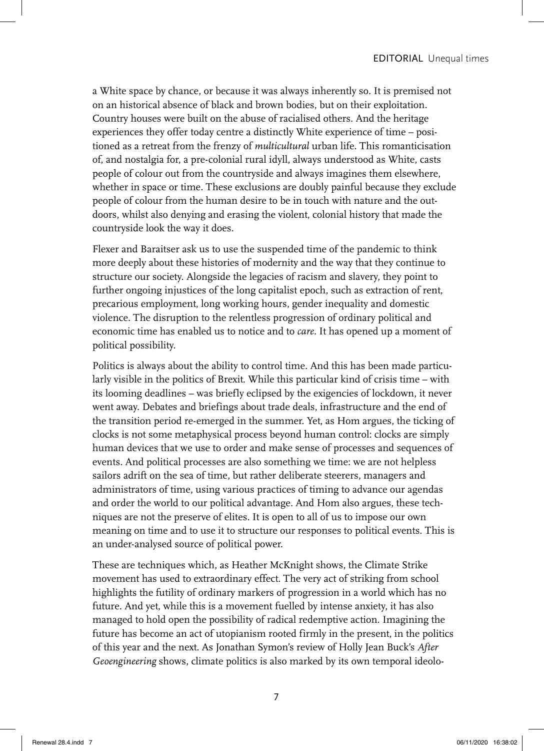a White space by chance, or because it was always inherently so. It is premised not on an historical absence of black and brown bodies, but on their exploitation. Country houses were built on the abuse of racialised others. And the heritage experiences they offer today centre a distinctly White experience of time – positioned as a retreat from the frenzy of *multicultural* urban life. This romanticisation of, and nostalgia for, a pre-colonial rural idyll, always understood as White, casts people of colour out from the countryside and always imagines them elsewhere, whether in space or time. These exclusions are doubly painful because they exclude people of colour from the human desire to be in touch with nature and the outdoors, whilst also denying and erasing the violent, colonial history that made the countryside look the way it does.

Flexer and Baraitser ask us to use the suspended time of the pandemic to think more deeply about these histories of modernity and the way that they continue to structure our society. Alongside the legacies of racism and slavery, they point to further ongoing injustices of the long capitalist epoch, such as extraction of rent, precarious employment, long working hours, gender inequality and domestic violence. The disruption to the relentless progression of ordinary political and economic time has enabled us to notice and to *care*. It has opened up a moment of political possibility.

Politics is always about the ability to control time. And this has been made particularly visible in the politics of Brexit. While this particular kind of crisis time – with its looming deadlines – was briefly eclipsed by the exigencies of lockdown, it never went away. Debates and briefings about trade deals, infrastructure and the end of the transition period re-emerged in the summer. Yet, as Hom argues, the ticking of clocks is not some metaphysical process beyond human control: clocks are simply human devices that we use to order and make sense of processes and sequences of events. And political processes are also something we time: we are not helpless sailors adrift on the sea of time, but rather deliberate steerers, managers and administrators of time, using various practices of timing to advance our agendas and order the world to our political advantage. And Hom also argues, these techniques are not the preserve of elites. It is open to all of us to impose our own meaning on time and to use it to structure our responses to political events. This is an under-analysed source of political power.

These are techniques which, as Heather McKnight shows, the Climate Strike movement has used to extraordinary effect. The very act of striking from school highlights the futility of ordinary markers of progression in a world which has no future. And yet, while this is a movement fuelled by intense anxiety, it has also managed to hold open the possibility of radical redemptive action. Imagining the future has become an act of utopianism rooted firmly in the present, in the politics of this year and the next. As Jonathan Symon's review of Holly Jean Buck's *After Geoengineering* shows, climate politics is also marked by its own temporal ideolo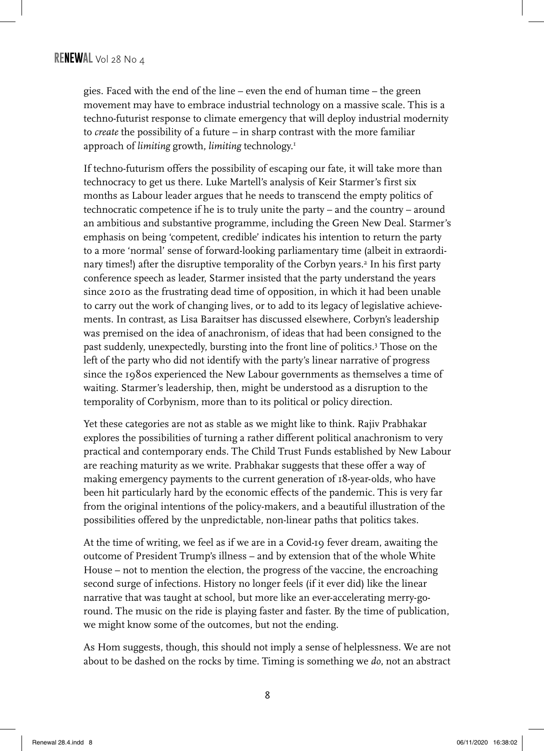gies. Faced with the end of the line – even the end of human time – the green movement may have to embrace industrial technology on a massive scale. This is a techno-futurist response to climate emergency that will deploy industrial modernity to *create* the possibility of a future – in sharp contrast with the more familiar approach of *limiting* growth, *limiting* technology.1

If techno-futurism offers the possibility of escaping our fate, it will take more than technocracy to get us there. Luke Martell's analysis of Keir Starmer's first six months as Labour leader argues that he needs to transcend the empty politics of technocratic competence if he is to truly unite the party – and the country – around an ambitious and substantive programme, including the Green New Deal. Starmer's emphasis on being 'competent, credible' indicates his intention to return the party to a more 'normal' sense of forward-looking parliamentary time (albeit in extraordinary times!) after the disruptive temporality of the Corbyn years.<sup>2</sup> In his first party conference speech as leader, Starmer insisted that the party understand the years since 2010 as the frustrating dead time of opposition, in which it had been unable to carry out the work of changing lives, or to add to its legacy of legislative achievements. In contrast, as Lisa Baraitser has discussed elsewhere, Corbyn's leadership was premised on the idea of anachronism, of ideas that had been consigned to the past suddenly, unexpectedly, bursting into the front line of politics.3 Those on the left of the party who did not identify with the party's linear narrative of progress since the 1980s experienced the New Labour governments as themselves a time of waiting. Starmer's leadership, then, might be understood as a disruption to the temporality of Corbynism, more than to its political or policy direction.

Yet these categories are not as stable as we might like to think. Rajiv Prabhakar explores the possibilities of turning a rather different political anachronism to very practical and contemporary ends. The Child Trust Funds established by New Labour are reaching maturity as we write. Prabhakar suggests that these offer a way of making emergency payments to the current generation of 18-year-olds, who have been hit particularly hard by the economic effects of the pandemic. This is very far from the original intentions of the policy-makers, and a beautiful illustration of the possibilities offered by the unpredictable, non-linear paths that politics takes.

At the time of writing, we feel as if we are in a Covid-19 fever dream, awaiting the outcome of President Trump's illness – and by extension that of the whole White House – not to mention the election, the progress of the vaccine, the encroaching second surge of infections. History no longer feels (if it ever did) like the linear narrative that was taught at school, but more like an ever-accelerating merry-goround. The music on the ride is playing faster and faster. By the time of publication, we might know some of the outcomes, but not the ending.

As Hom suggests, though, this should not imply a sense of helplessness. We are not about to be dashed on the rocks by time. Timing is something we *do*, not an abstract